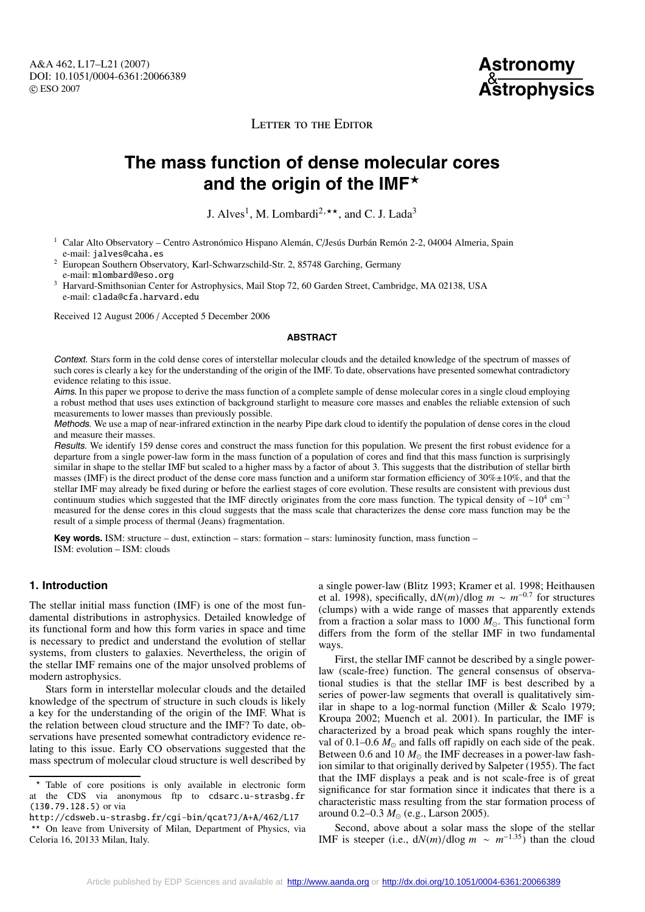**Astronomy** & **Astrophysics**

LETTER TO THE EDITOR

# **The mass function of dense molecular cores and the origin of the IMF**

J. Alves<sup>1</sup>, M. Lombardi<sup>2, \*\*</sup>, and C. J. Lada<sup>3</sup>

- <sup>1</sup> Calar Alto Observatory Centro Astronómico Hispano Alemán, C/Jesús Durbán Remón 2-2, 04004 Almeria, Spain e-mail: jalves@caha.es
- <sup>2</sup> European Southern Observatory, Karl-Schwarzschild-Str. 2, 85748 Garching, Germany e-mail: mlombard@eso.org
- <sup>3</sup> Harvard-Smithsonian Center for Astrophysics, Mail Stop 72, 60 Garden Street, Cambridge, MA 02138, USA e-mail: clada@cfa.harvard.edu

Received 12 August 2006 / Accepted 5 December 2006

#### **ABSTRACT**

Context. Stars form in the cold dense cores of interstellar molecular clouds and the detailed knowledge of the spectrum of masses of such cores is clearly a key for the understanding of the origin of the IMF. To date, observations have presented somewhat contradictory evidence relating to this issue.

Aims. In this paper we propose to derive the mass function of a complete sample of dense molecular cores in a single cloud employing a robust method that uses uses extinction of background starlight to measure core masses and enables the reliable extension of such measurements to lower masses than previously possible.

Methods. We use a map of near-infrared extinction in the nearby Pipe dark cloud to identify the population of dense cores in the cloud and measure their masses.

Results. We identify 159 dense cores and construct the mass function for this population. We present the first robust evidence for a departure from a single power-law form in the mass function of a population of cores and find that this mass function is surprisingly similar in shape to the stellar IMF but scaled to a higher mass by a factor of about 3. This suggests that the distribution of stellar birth masses (IMF) is the direct product of the dense core mass function and a uniform star formation efficiency of  $30\% \pm 10\%$ , and that the stellar IMF may already be fixed during or before the earliest stages of core evolution. These results are consistent with previous dust continuum studies which suggested that the IMF directly originates from the core mass function. The typical density of ~10<sup>4</sup> cm<sup>-3</sup> measured for the dense cores in this cloud suggests that the mass scale that characterizes the dense core mass function may be the result of a simple process of thermal (Jeans) fragmentation.

**Key words.** ISM: structure – dust, extinction – stars: formation – stars: luminosity function, mass function – ISM: evolution – ISM: clouds

# **1. Introduction**

The stellar initial mass function (IMF) is one of the most fundamental distributions in astrophysics. Detailed knowledge of its functional form and how this form varies in space and time is necessary to predict and understand the evolution of stellar systems, from clusters to galaxies. Nevertheless, the origin of the stellar IMF remains one of the major unsolved problems of modern astrophysics.

Stars form in interstellar molecular clouds and the detailed knowledge of the spectrum of structure in such clouds is likely a key for the understanding of the origin of the IMF. What is the relation between cloud structure and the IMF? To date, observations have presented somewhat contradictory evidence relating to this issue. Early CO observations suggested that the mass spectrum of molecular cloud structure is well described by

a single power-law (Blitz 1993; Kramer et al. 1998; Heithausen et al. 1998), specifically,  $dN(m)/d\log m \sim m^{-0.7}$  for structures (clumps) with a wide range of masses that apparently extends from a fraction a solar mass to 1000  $M_{\odot}$ . This functional form differs from the form of the stellar IMF in two fundamental ways.

First, the stellar IMF cannot be described by a single powerlaw (scale-free) function. The general consensus of observational studies is that the stellar IMF is best described by a series of power-law segments that overall is qualitatively similar in shape to a log-normal function (Miller & Scalo 1979; Kroupa 2002; Muench et al. 2001). In particular, the IMF is characterized by a broad peak which spans roughly the interval of 0.1–0.6  $\dot{M}_{\odot}$  and falls off rapidly on each side of the peak. Between 0.6 and 10  $M_{\odot}$  the IMF decreases in a power-law fashion similar to that originally derived by Salpeter (1955). The fact that the IMF displays a peak and is not scale-free is of great significance for star formation since it indicates that there is a characteristic mass resulting from the star formation process of around  $0.2{\text -}0.3 M_{\odot}$  (e.g., Larson 2005).

Second, above about a solar mass the slope of the stellar IMF is steeper (i.e.,  $dN(m)/d\log m \sim m^{-1.35}$ ) than the cloud

<sup>\*</sup> Table of core positions is only available in electronic form at the CDS via anonymous ftp to cdsarc.u-strasbg.fr (130.79.128.5) or via

http://cdsweb.u-strasbg.fr/cgi-bin/qcat?J/A+A/462/L17 \*\* On leave from University of Milan, Department of Physics, via Celoria 16, 20133 Milan, Italy.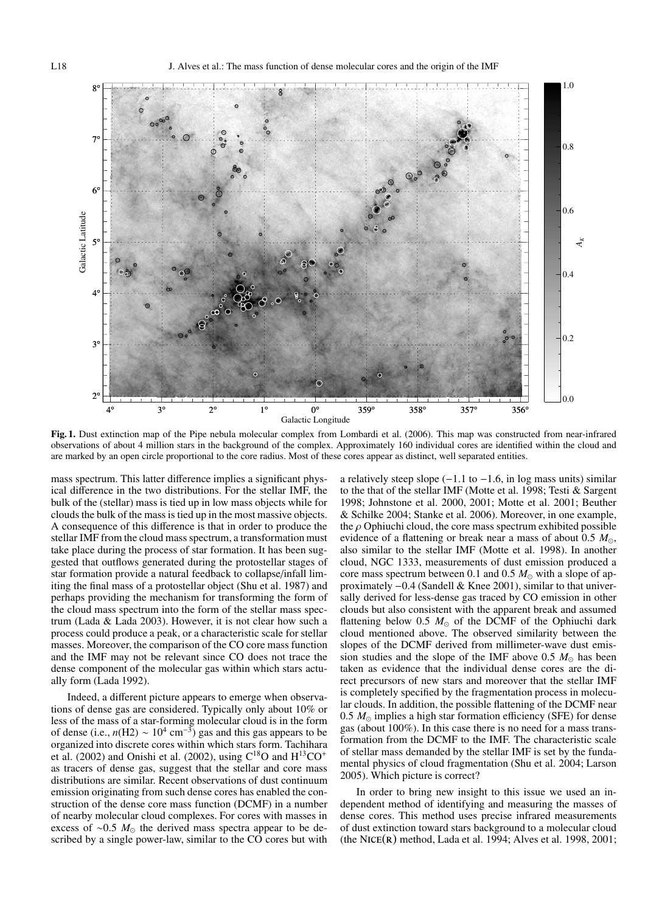

**Fig. 1.** Dust extinction map of the Pipe nebula molecular complex from Lombardi et al. (2006). This map was constructed from near-infrared observations of about 4 million stars in the background of the complex. Approximately 160 individual cores are identified within the cloud and are marked by an open circle proportional to the core radius. Most of these cores appear as distinct, well separated entities.

mass spectrum. This latter difference implies a significant physical difference in the two distributions. For the stellar IMF, the bulk of the (stellar) mass is tied up in low mass objects while for clouds the bulk of the mass is tied up in the most massive objects. A consequence of this difference is that in order to produce the stellar IMF from the cloud mass spectrum, a transformation must take place during the process of star formation. It has been suggested that outflows generated during the protostellar stages of star formation provide a natural feedback to collapse/infall limiting the final mass of a protostellar object (Shu et al. 1987) and perhaps providing the mechanism for transforming the form of the cloud mass spectrum into the form of the stellar mass spectrum (Lada & Lada 2003). However, it is not clear how such a process could produce a peak, or a characteristic scale for stellar masses. Moreover, the comparison of the CO core mass function and the IMF may not be relevant since CO does not trace the dense component of the molecular gas within which stars actually form (Lada 1992).

Indeed, a different picture appears to emerge when observations of dense gas are considered. Typically only about 10% or less of the mass of a star-forming molecular cloud is in the form of dense (i.e.,  $n(H2) \sim 10^4$  cm<sup>-3</sup>) gas and this gas appears to be organized into discrete cores within which stars form. Tachihara et al. (2002) and Onishi et al. (2002), using  $C^{18}O$  and  $H^{13}CO<sup>+</sup>$ as tracers of dense gas, suggest that the stellar and core mass distributions are similar. Recent observations of dust continuum emission originating from such dense cores has enabled the construction of the dense core mass function (DCMF) in a number of nearby molecular cloud complexes. For cores with masses in excess of ~0.5  $M_{\odot}$  the derived mass spectra appear to be described by a single power-law, similar to the CO cores but with

a relatively steep slope (−1.1 to −1.6, in log mass units) similar to the that of the stellar IMF (Motte et al. 1998; Testi & Sargent 1998; Johnstone et al. 2000, 2001; Motte et al. 2001; Beuther & Schilke 2004; Stanke et al. 2006). Moreover, in one example, the  $\rho$  Ophiuchi cloud, the core mass spectrum exhibited possible evidence of a flattening or break near a mass of about  $0.5 M_{\odot}$ , also similar to the stellar IMF (Motte et al. 1998). In another cloud, NGC 1333, measurements of dust emission produced a core mass spectrum between 0.1 and 0.5  $M_{\odot}$  with a slope of approximately −0.4 (Sandell & Knee 2001), similar to that universally derived for less-dense gas traced by CO emission in other clouds but also consistent with the apparent break and assumed flattening below 0.5  $M_{\odot}$  of the DCMF of the Ophiuchi dark cloud mentioned above. The observed similarity between the slopes of the DCMF derived from millimeter-wave dust emission studies and the slope of the IMF above 0.5  $M_{\odot}$  has been taken as evidence that the individual dense cores are the direct precursors of new stars and moreover that the stellar IMF is completely specified by the fragmentation process in molecular clouds. In addition, the possible flattening of the DCMF near  $0.5 M_{\odot}$  implies a high star formation efficiency (SFE) for dense gas (about 100%). In this case there is no need for a mass transformation from the DCMF to the IMF. The characteristic scale of stellar mass demanded by the stellar IMF is set by the fundamental physics of cloud fragmentation (Shu et al. 2004; Larson 2005). Which picture is correct?

In order to bring new insight to this issue we used an independent method of identifying and measuring the masses of dense cores. This method uses precise infrared measurements of dust extinction toward stars background to a molecular cloud (the NICE $(R)$  method, Lada et al. 1994; Alves et al. 1998, 2001;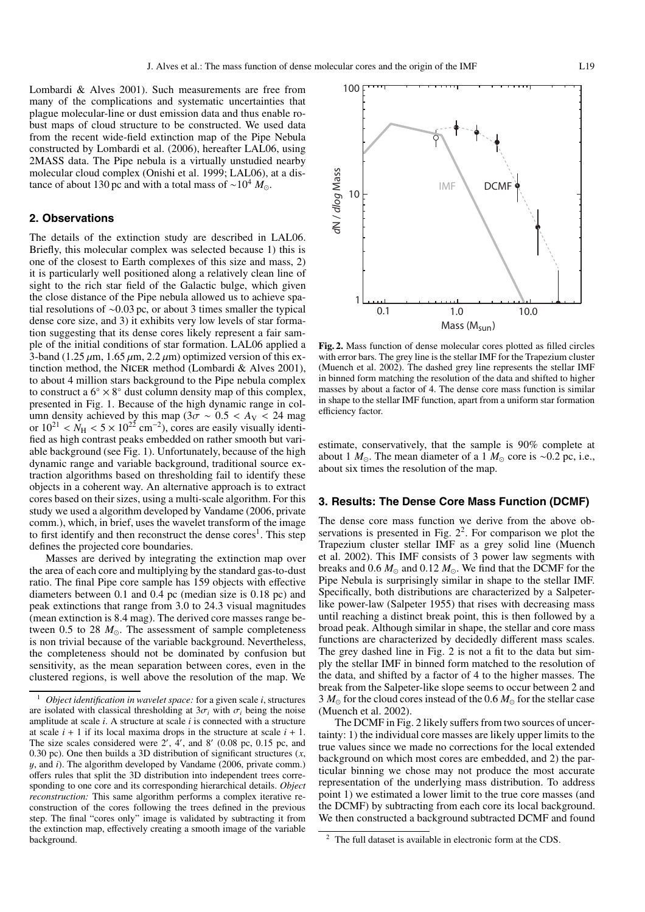Lombardi & Alves 2001). Such measurements are free from many of the complications and systematic uncertainties that plague molecular-line or dust emission data and thus enable robust maps of cloud structure to be constructed. We used data from the recent wide-field extinction map of the Pipe Nebula constructed by Lombardi et al. (2006), hereafter LAL06, using 2MASS data. The Pipe nebula is a virtually unstudied nearby molecular cloud complex (Onishi et al. 1999; LAL06), at a distance of about 130 pc and with a total mass of ~10<sup>4</sup>  $M_{\odot}$ .

## **2. Observations**

The details of the extinction study are described in LAL06. Briefly, this molecular complex was selected because 1) this is one of the closest to Earth complexes of this size and mass, 2) it is particularly well positioned along a relatively clean line of sight to the rich star field of the Galactic bulge, which given the close distance of the Pipe nebula allowed us to achieve spatial resolutions of ∼0.03 pc, or about 3 times smaller the typical dense core size, and 3) it exhibits very low levels of star formation suggesting that its dense cores likely represent a fair sample of the initial conditions of star formation. LAL06 applied a 3-band (1.25  $\mu$ m, 1.65  $\mu$ m, 2.2  $\mu$ m) optimized version of this extinction method, the NICER method (Lombardi & Alves 2001), to about 4 million stars background to the Pipe nebula complex to construct a  $6° \times 8°$  dust column density map of this complex, presented in Fig. 1. Because of the high dynamic range in column density achieved by this map ( $3\sigma \sim 0.5 < A_{\rm V} < 24$  mag or  $10^{21} < N_H < 5 \times 10^{22}$  cm<sup>-2</sup>), cores are easily visually identified as high contrast peaks embedded on rather smooth but variable background (see Fig. 1). Unfortunately, because of the high dynamic range and variable background, traditional source extraction algorithms based on thresholding fail to identify these objects in a coherent way. An alternative approach is to extract cores based on their sizes, using a multi-scale algorithm. For this study we used a algorithm developed by Vandame (2006, private comm.), which, in brief, uses the wavelet transform of the image to first identify and then reconstruct the dense  $\text{cores}^1$ . This step defines the projected core boundaries.

Masses are derived by integrating the extinction map over the area of each core and multiplying by the standard gas-to-dust ratio. The final Pipe core sample has 159 objects with effective diameters between 0.1 and 0.4 pc (median size is 0.18 pc) and peak extinctions that range from 3.0 to 24.3 visual magnitudes (mean extinction is 8.4 mag). The derived core masses range between  $0.5$  to  $28$   $M_{\odot}$ . The assessment of sample completeness is non trivial because of the variable background. Nevertheless, the completeness should not be dominated by confusion but sensitivity, as the mean separation between cores, even in the clustered regions, is well above the resolution of the map. We



**Fig. 2.** Mass function of dense molecular cores plotted as filled circles with error bars. The grey line is the stellar IMF for the Trapezium cluster (Muench et al. 2002). The dashed grey line represents the stellar IMF in binned form matching the resolution of the data and shifted to higher masses by about a factor of 4. The dense core mass function is similar in shape to the stellar IMF function, apart from a uniform star formation efficiency factor.

estimate, conservatively, that the sample is 90% complete at about 1  $M_{\odot}$ . The mean diameter of a 1  $M_{\odot}$  core is ∼0.2 pc, i.e., about six times the resolution of the map.

### **3. Results: The Dense Core Mass Function (DCMF)**

The dense core mass function we derive from the above observations is presented in Fig.  $2^2$ . For comparison we plot the Trapezium cluster stellar IMF as a grey solid line (Muench et al. 2002). This IMF consists of 3 power law segments with breaks and 0.6  $M_{\odot}$  and 0.12  $M_{\odot}$ . We find that the DCMF for the Pipe Nebula is surprisingly similar in shape to the stellar IMF. Specifically, both distributions are characterized by a Salpeterlike power-law (Salpeter 1955) that rises with decreasing mass until reaching a distinct break point, this is then followed by a broad peak. Although similar in shape, the stellar and core mass functions are characterized by decidedly different mass scales. The grey dashed line in Fig. 2 is not a fit to the data but simply the stellar IMF in binned form matched to the resolution of the data, and shifted by a factor of 4 to the higher masses. The break from the Salpeter-like slope seems to occur between 2 and 3  $M_{\odot}$  for the cloud cores instead of the 0.6  $M_{\odot}$  for the stellar case (Muench et al. 2002).

The DCMF in Fig. 2 likely suffers from two sources of uncertainty: 1) the individual core masses are likely upper limits to the true values since we made no corrections for the local extended background on which most cores are embedded, and 2) the particular binning we chose may not produce the most accurate representation of the underlying mass distribution. To address point 1) we estimated a lower limit to the true core masses (and the DCMF) by subtracting from each core its local background. We then constructed a background subtracted DCMF and found

<sup>1</sup> *Object identification in wavelet space:* for a given scale *i*, structures are isolated with classical thresholding at  $3\sigma_i$  with  $\sigma_i$  being the noise amplitude at scale *i*. A structure at scale *i* is connected with a structure at scale  $i + 1$  if its local maxima drops in the structure at scale  $i + 1$ . The size scales considered were  $2'$ ,  $4'$ , and  $8'$   $(0.08 \text{ pc}, 0.15 \text{ pc}, \text{ and})$ 0.30 pc). One then builds a 3D distribution of significant structures (*x*, y, and *i*). The algorithm developed by Vandame (2006, private comm.) offers rules that split the 3D distribution into independent trees corresponding to one core and its corresponding hierarchical details. *Object reconstruction:* This same algorithm performs a complex iterative reconstruction of the cores following the trees defined in the previous step. The final "cores only" image is validated by subtracting it from the extinction map, effectively creating a smooth image of the variable background.

The full dataset is available in electronic form at the CDS.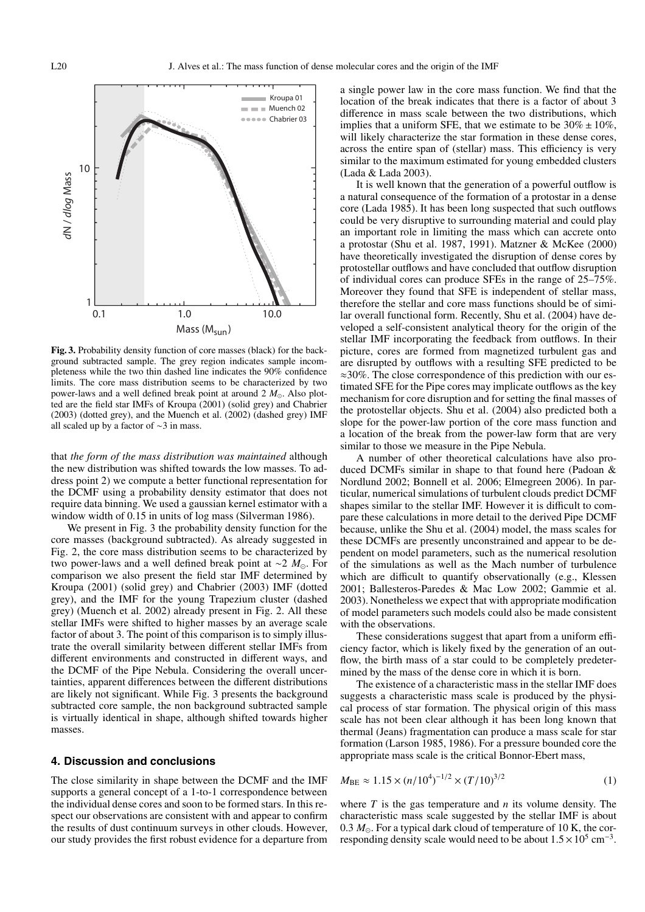

**Fig. 3.** Probability density function of core masses (black) for the background subtracted sample. The grey region indicates sample incompleteness while the two thin dashed line indicates the 90% confidence limits. The core mass distribution seems to be characterized by two power-laws and a well defined break point at around 2  $M_{\odot}$ . Also plotted are the field star IMFs of Kroupa (2001) (solid grey) and Chabrier (2003) (dotted grey), and the Muench et al. (2002) (dashed grey) IMF all scaled up by a factor of ∼3 in mass.

that *the form of the mass distribution was maintained* although the new distribution was shifted towards the low masses. To address point 2) we compute a better functional representation for the DCMF using a probability density estimator that does not require data binning. We used a gaussian kernel estimator with a window width of 0.15 in units of log mass (Silverman 1986).

We present in Fig. 3 the probability density function for the core masses (background subtracted). As already suggested in Fig. 2, the core mass distribution seems to be characterized by two power-laws and a well defined break point at ∼2 *M*. For comparison we also present the field star IMF determined by Kroupa (2001) (solid grey) and Chabrier (2003) IMF (dotted grey), and the IMF for the young Trapezium cluster (dashed grey) (Muench et al. 2002) already present in Fig. 2. All these stellar IMFs were shifted to higher masses by an average scale factor of about 3. The point of this comparison is to simply illustrate the overall similarity between different stellar IMFs from different environments and constructed in different ways, and the DCMF of the Pipe Nebula. Considering the overall uncertainties, apparent differences between the different distributions are likely not significant. While Fig. 3 presents the background subtracted core sample, the non background subtracted sample is virtually identical in shape, although shifted towards higher masses.

#### **4. Discussion and conclusions**

The close similarity in shape between the DCMF and the IMF supports a general concept of a 1-to-1 correspondence between the individual dense cores and soon to be formed stars. In this respect our observations are consistent with and appear to confirm the results of dust continuum surveys in other clouds. However, our study provides the first robust evidence for a departure from a single power law in the core mass function. We find that the location of the break indicates that there is a factor of about 3 difference in mass scale between the two distributions, which implies that a uniform SFE, that we estimate to be  $30\% \pm 10\%$ , will likely characterize the star formation in these dense cores, across the entire span of (stellar) mass. This efficiency is very similar to the maximum estimated for young embedded clusters (Lada & Lada 2003).

It is well known that the generation of a powerful outflow is a natural consequence of the formation of a protostar in a dense core (Lada 1985). It has been long suspected that such outflows could be very disruptive to surrounding material and could play an important role in limiting the mass which can accrete onto a protostar (Shu et al. 1987, 1991). Matzner & McKee (2000) have theoretically investigated the disruption of dense cores by protostellar outflows and have concluded that outflow disruption of individual cores can produce SFEs in the range of 25–75%. Moreover they found that SFE is independent of stellar mass, therefore the stellar and core mass functions should be of similar overall functional form. Recently, Shu et al. (2004) have developed a self-consistent analytical theory for the origin of the stellar IMF incorporating the feedback from outflows. In their picture, cores are formed from magnetized turbulent gas and are disrupted by outflows with a resulting SFE predicted to be ≈30%. The close correspondence of this prediction with our estimated SFE for the Pipe cores may implicate outflows as the key mechanism for core disruption and for setting the final masses of the protostellar objects. Shu et al. (2004) also predicted both a slope for the power-law portion of the core mass function and a location of the break from the power-law form that are very similar to those we measure in the Pipe Nebula.

A number of other theoretical calculations have also produced DCMFs similar in shape to that found here (Padoan & Nordlund 2002; Bonnell et al. 2006; Elmegreen 2006). In particular, numerical simulations of turbulent clouds predict DCMF shapes similar to the stellar IMF. However it is difficult to compare these calculations in more detail to the derived Pipe DCMF because, unlike the Shu et al. (2004) model, the mass scales for these DCMFs are presently unconstrained and appear to be dependent on model parameters, such as the numerical resolution of the simulations as well as the Mach number of turbulence which are difficult to quantify observationally (e.g., Klessen 2001; Ballesteros-Paredes & Mac Low 2002; Gammie et al. 2003). Nonetheless we expect that with appropriate modification of model parameters such models could also be made consistent with the observations.

These considerations suggest that apart from a uniform efficiency factor, which is likely fixed by the generation of an outflow, the birth mass of a star could to be completely predetermined by the mass of the dense core in which it is born.

The existence of a characteristic mass in the stellar IMF does suggests a characteristic mass scale is produced by the physical process of star formation. The physical origin of this mass scale has not been clear although it has been long known that thermal (Jeans) fragmentation can produce a mass scale for star formation (Larson 1985, 1986). For a pressure bounded core the appropriate mass scale is the critical Bonnor-Ebert mass,

$$
M_{\rm BE} \approx 1.15 \times (n/10^4)^{-1/2} \times (T/10)^{3/2} \tag{1}
$$

where *T* is the gas temperature and *n* its volume density. The characteristic mass scale suggested by the stellar IMF is about 0.3  $M_{\odot}$ . For a typical dark cloud of temperature of 10 K, the corresponding density scale would need to be about  $1.5 \times 10^5$  cm<sup>-3</sup>.